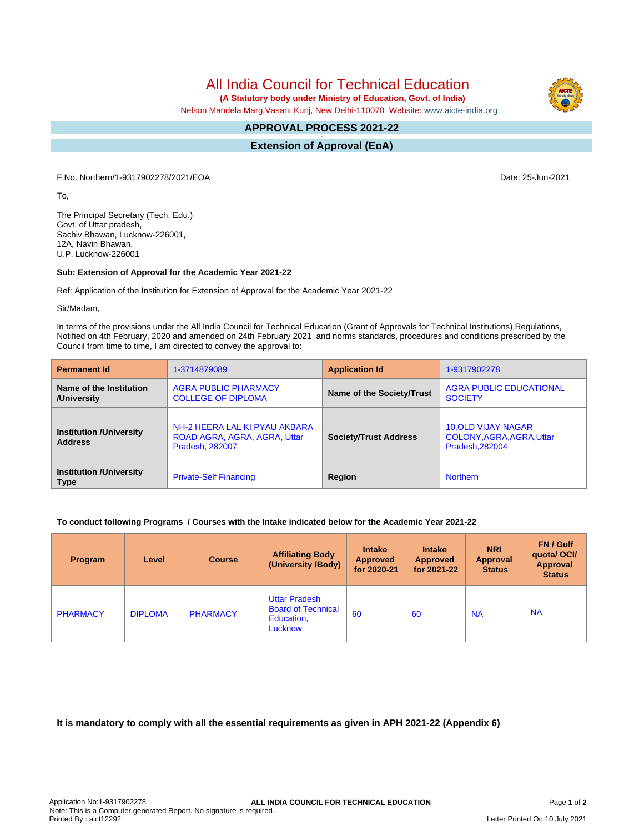All India Council for Technical Education

 **(A Statutory body under Ministry of Education, Govt. of India)**

Nelson Mandela Marg,Vasant Kunj, New Delhi-110070 Website: [www.aicte-india.org](http://www.aicte-india.org)

## **APPROVAL PROCESS 2021-22 -**

**Extension of Approval (EoA)**

F.No. Northern/1-9317902278/2021/EOA Date: 25-Jun-2021

To,

The Principal Secretary (Tech. Edu.) Govt. of Uttar pradesh, Sachiv Bhawan, Lucknow-226001, 12A, Navin Bhawan, U.P. Lucknow-226001

## **Sub: Extension of Approval for the Academic Year 2021-22**

Ref: Application of the Institution for Extension of Approval for the Academic Year 2021-22

Sir/Madam,

In terms of the provisions under the All India Council for Technical Education (Grant of Approvals for Technical Institutions) Regulations, Notified on 4th February, 2020 and amended on 24th February 2021 and norms standards, procedures and conditions prescribed by the Council from time to time, I am directed to convey the approval to:

| <b>Permanent Id</b>                              | 1-3714879089                                                                            | <b>Application Id</b>        | 1-9317902278                                                              |  |
|--------------------------------------------------|-----------------------------------------------------------------------------------------|------------------------------|---------------------------------------------------------------------------|--|
| Name of the Institution<br>/University           | <b>AGRA PUBLIC PHARMACY</b><br><b>COLLEGE OF DIPLOMA</b>                                | Name of the Society/Trust    | <b>AGRA PUBLIC EDUCATIONAL</b><br><b>SOCIETY</b>                          |  |
| <b>Institution /University</b><br><b>Address</b> | NH-2 HEERA LAL KI PYAU AKBARA<br>ROAD AGRA, AGRA, AGRA, Uttar<br><b>Pradesh, 282007</b> | <b>Society/Trust Address</b> | <b>10, OLD VIJAY NAGAR</b><br>COLONY, AGRA, AGRA, Uttar<br>Pradesh.282004 |  |
| <b>Institution /University</b><br><b>Type</b>    | <b>Private-Self Financing</b>                                                           | Region                       | <b>Northern</b>                                                           |  |

## **To conduct following Programs / Courses with the Intake indicated below for the Academic Year 2021-22**

| Program         | Level          | <b>Course</b>   | <b>Affiliating Body</b><br>(University /Body)                              | <b>Intake</b><br><b>Approved</b><br>for 2020-21 | <b>Intake</b><br><b>Approved</b><br>for 2021-22 | <b>NRI</b><br>Approval<br><b>Status</b> | FN / Gulf<br>quotal OCI/<br>Approval<br><b>Status</b> |
|-----------------|----------------|-----------------|----------------------------------------------------------------------------|-------------------------------------------------|-------------------------------------------------|-----------------------------------------|-------------------------------------------------------|
| <b>PHARMACY</b> | <b>DIPLOMA</b> | <b>PHARMACY</b> | <b>Uttar Pradesh</b><br><b>Board of Technical</b><br>Education,<br>Lucknow | 60                                              | 60                                              | <b>NA</b>                               | <b>NA</b>                                             |

**It is mandatory to comply with all the essential requirements as given in APH 2021-22 (Appendix 6)**